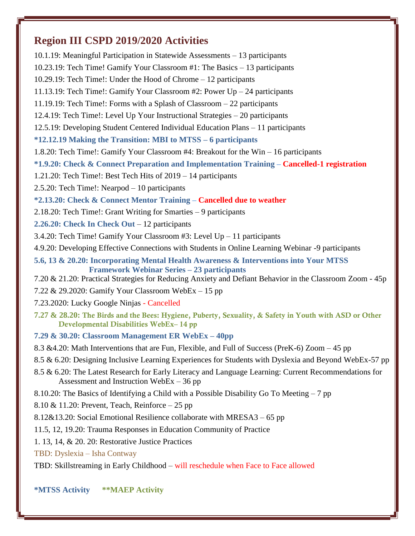# **Region III CSPD 2019/2020 Activities**

10.1.19: Meaningful Participation in Statewide Assessments – 13 participants 10.23.19: Tech Time! Gamify Your Classroom #1: The Basics – 13 participants 10.29.19: Tech Time!: Under the Hood of Chrome – 12 participants 11.13.19: Tech Time!: Gamify Your Classroom #2: Power Up – 24 participants 11.19.19: Tech Time!: Forms with a Splash of Classroom – 22 participants 12.4.19: Tech Time!: Level Up Your Instructional Strategies – 20 participants 12.5.19: Developing Student Centered Individual Education Plans – 11 participants **\*12.12.19 Making the Transition: MBI to MTSS – 6 participants** 1.8.20: Tech Time!: Gamify Your Classroom #4: Breakout for the Win – 16 participants **\*1.9.20: Check & Connect Preparation and Implementation Training – Cancelled-1 registration** 1.21.20: Tech Time!: Best Tech Hits of 2019 – 14 participants 2.5.20: Tech Time!: Nearpod – 10 participants **\*2.13.20: Check & Connect Mentor Training – Cancelled due to weather** 2.18.20: Tech Time!: Grant Writing for Smarties – 9 participants **2.26.20: Check In Check Out** – 12 participants 3.4.20: Tech Time! Gamify Your Classroom #3: Level Up – 11 participants 4.9.20: Developing Effective Connections with Students in Online Learning Webinar -9 participants **5.6, 13 & 20.20: Incorporating Mental Health Awareness & Interventions into Your MTSS Framework Webinar Series – 23 participants** 7.20 & 21.20: Practical Strategies for Reducing Anxiety and Defiant Behavior in the Classroom Zoom - 45p 7.22 & 29.2020: Gamify Your Classroom WebEx – 15 pp 7.23.2020: Lucky Google Ninjas - Cancelled **7.27 & 28.20:** The Birds and the Bees: Hygiene, Puberty, Sexuality, & Safety in Youth with ASD or Other Developmental Disabilities WebEx– 14 pp **7.29 & 30.20: Classroom Management ER WebEx – 40pp** 8.3 &4.20: Math Interventions that are Fun, Flexible, and Full of Success (PreK-6) Zoom – 45 pp 8.5 & 6.20: Designing Inclusive Learning Experiences for Students with Dyslexia and Beyond WebEx-57 pp 8.5 & 6.20: The Latest Research for Early Literacy and Language Learning: Current Recommendations for Assessment and Instruction WebEx – 36 pp 8.10.20: The Basics of Identifying a Child with a Possible Disability Go To Meeting – 7 pp 8.10 & 11.20: Prevent, Teach, Reinforce – 25 pp 8.12&13.20: Social Emotional Resilience collaborate with MRESA3 – 65 pp 11.5, 12, 19.20: Trauma Responses in Education Community of Practice 1. 13, 14, & 20. 20: Restorative Justice Practices TBD: Dyslexia – Isha Contway TBD: Skillstreaming in Early Childhood – will reschedule when Face to Face allowed

### **\*MTSS Activity \*\*MAEP Activity**